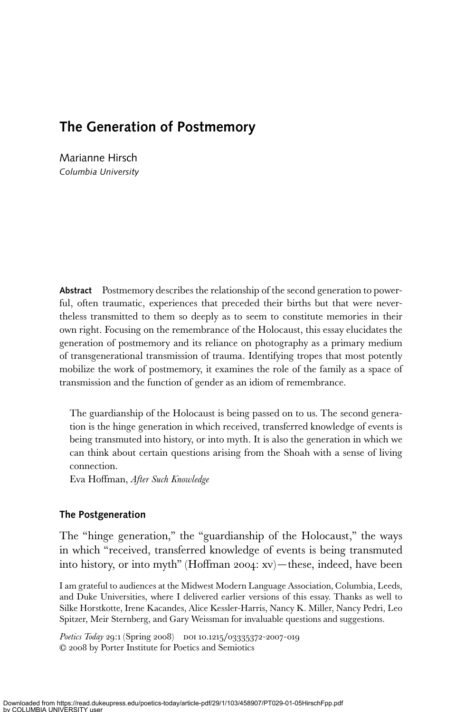# **The Generation of Postmemory**

Marianne Hirsch *Columbia University*

**Abstract** Postmemory describes the relationship of the second generation to powerful, often traumatic, experiences that preceded their births but that were nevertheless transmitted to them so deeply as to seem to constitute memories in their own right. Focusing on the remembrance of the Holocaust, this essay elucidates the generation of postmemory and its reliance on photography as a primary medium of transgenerational transmission of trauma. Identifying tropes that most potently mobilize the work of postmemory, it examines the role of the family as a space of transmission and the function of gender as an idiom of remembrance.

The guardianship of the Holocaust is being passed on to us. The second generation is the hinge generation in which received, transferred knowledge of events is being transmuted into history, or into myth. It is also the generation in which we can think about certain questions arising from the Shoah with a sense of living connection.

Eva Hoffman, *After Such Knowledge*

### **The Postgeneration**

The "hinge generation," the "guardianship of the Holocaust," the ways in which "received, transferred knowledge of events is being transmuted into history, or into myth" (Hoffman 2004: xv)—these, indeed, have been

I am grateful to audiences at the Midwest Modern Language Association, Columbia, Leeds, and Duke Universities, where I delivered earlier versions of this essay. Thanks as well to Silke Horstkotte, Irene Kacandes, Alice Kessler-Harris, Nancy K. Miller, Nancy Pedri, Leo Spitzer, Meir Sternberg, and Gary Weissman for invaluable questions and suggestions.

Poetics Today 29:1 (Spring 2008) DOI 10.1215/03335372-2007-019 © 2008 by Porter Institute for Poetics and Semiotics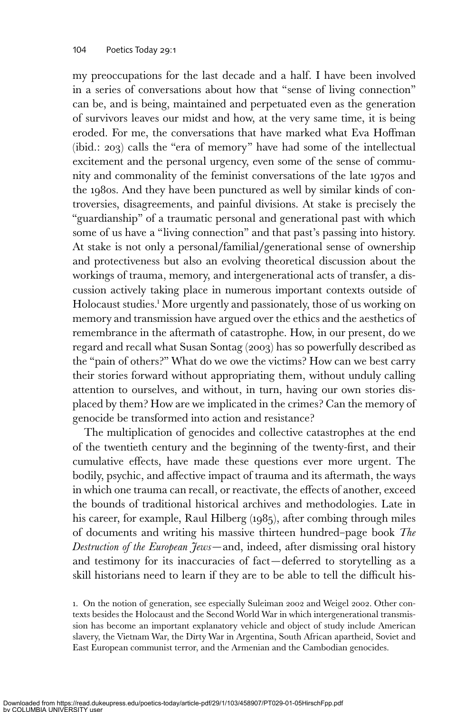my preoccupations for the last decade and a half. I have been involved in a series of conversations about how that "sense of living connection" can be, and is being, maintained and perpetuated even as the generation of survivors leaves our midst and how, at the very same time, it is being eroded. For me, the conversations that have marked what Eva Hoffman (ibid.: 203) calls the "era of memory" have had some of the intellectual excitement and the personal urgency, even some of the sense of community and commonality of the feminist conversations of the late 1970s and the 1980s. And they have been punctured as well by similar kinds of controversies, disagreements, and painful divisions. At stake is precisely the "guardianship" of a traumatic personal and generational past with which some of us have a "living connection" and that past's passing into history. At stake is not only a personal/familial/generational sense of ownership and protectiveness but also an evolving theoretical discussion about the workings of trauma, memory, and intergenerational acts of transfer, a discussion actively taking place in numerous important contexts outside of Holocaust studies.<sup>1</sup> More urgently and passionately, those of us working on memory and transmission have argued over the ethics and the aesthetics of remembrance in the aftermath of catastrophe. How, in our present, do we regard and recall what Susan Sontag (2003) has so powerfully described as the "pain of others?" What do we owe the victims? How can we best carry their stories forward without appropriating them, without unduly calling attention to ourselves, and without, in turn, having our own stories displaced by them? How are we implicated in the crimes? Can the memory of genocide be transformed into action and resistance?

The multiplication of genocides and collective catastrophes at the end of the twentieth century and the beginning of the twenty-first, and their cumulative effects, have made these questions ever more urgent. The bodily, psychic, and affective impact of trauma and its aftermath, the ways in which one trauma can recall, or reactivate, the effects of another, exceed the bounds of traditional historical archives and methodologies. Late in his career, for example, Raul Hilberg (1985), after combing through miles of documents and writing his massive thirteen hundred–page book *The Destruction of the European Jews*—and, indeed, after dismissing oral history and testimony for its inaccuracies of fact—deferred to storytelling as a skill historians need to learn if they are to be able to tell the difficult his-

. On the notion of generation, see especially Suleiman 2002 and Weigel 2002. Other contexts besides the Holocaust and the Second World War in which intergenerational transmission has become an important explanatory vehicle and object of study include American slavery, the Vietnam War, the Dirty War in Argentina, South African apartheid, Soviet and East European communist terror, and the Armenian and the Cambodian genocides.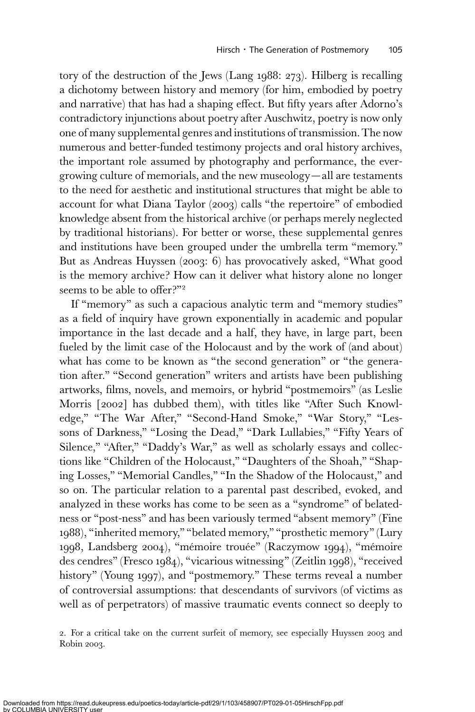tory of the destruction of the Jews (Lang 1988: 273). Hilberg is recalling a dichotomy between history and memory (for him, embodied by poetry and narrative) that has had a shaping effect. But fifty years after Adorno's contradictory injunctions about poetry after Auschwitz, poetry is now only one of many supplemental genres and institutions of transmission. The now numerous and better-funded testimony projects and oral history archives, the important role assumed by photography and performance, the evergrowing culture of memorials, and the new museology—all are testaments to the need for aesthetic and institutional structures that might be able to account for what Diana Taylor (2003) calls "the repertoire" of embodied knowledge absent from the historical archive (or perhaps merely neglected by traditional historians). For better or worse, these supplemental genres and institutions have been grouped under the umbrella term "memory." But as Andreas Huyssen (2003: 6) has provocatively asked, "What good is the memory archive? How can it deliver what history alone no longer seems to be able to offer?"<sup>2</sup>

If "memory" as such a capacious analytic term and "memory studies" as a field of inquiry have grown exponentially in academic and popular importance in the last decade and a half, they have, in large part, been fueled by the limit case of the Holocaust and by the work of (and about) what has come to be known as "the second generation" or "the generation after." "Second generation" writers and artists have been publishing artworks, films, novels, and memoirs, or hybrid "postmemoirs" (as Leslie Morris [2002] has dubbed them), with titles like "After Such Knowledge," "The War After," "Second-Hand Smoke," "War Story," "Lessons of Darkness," "Losing the Dead," "Dark Lullabies," "Fifty Years of Silence," "After," "Daddy's War," as well as scholarly essays and collections like "Children of the Holocaust," "Daughters of the Shoah," "Shaping Losses," "Memorial Candles," "In the Shadow of the Holocaust," and so on. The particular relation to a parental past described, evoked, and analyzed in these works has come to be seen as a "syndrome" of belatedness or "post-ness" and has been variously termed "absent memory" (Fine 1988), "inherited memory," "belated memory," "prosthetic memory" (Lury 1998, Landsberg 2004), "mémoire trouée" (Raczymow 1994), "mémoire des cendres" (Fresco 1984), "vicarious witnessing" (Zeitlin 1998), "received history" (Young 1997), and "postmemory." These terms reveal a number of controversial assumptions: that descendants of survivors (of victims as well as of perpetrators) of massive traumatic events connect so deeply to

<sup>.</sup> For a critical take on the current surfeit of memory, see especially Huyssen 2003 and Robin 2003.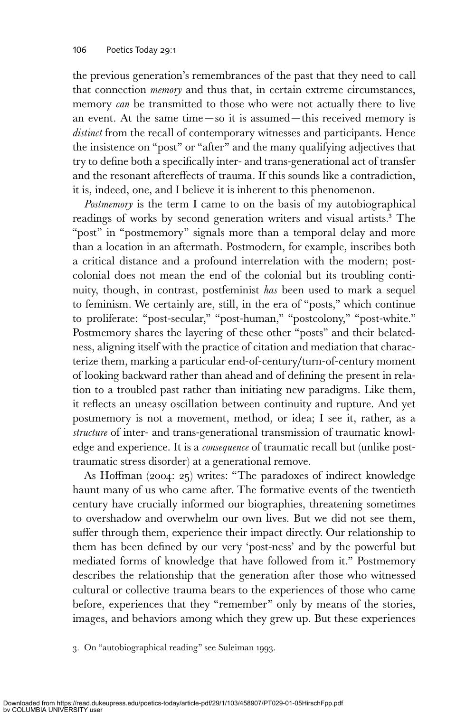the previous generation's remembrances of the past that they need to call that connection *memory* and thus that, in certain extreme circumstances, memory *can* be transmitted to those who were not actually there to live an event. At the same time—so it is assumed—this received memory is *distinct* from the recall of contemporary witnesses and participants. Hence the insistence on "post" or "after" and the many qualifying adjectives that try to define both a specifically inter- and trans-generational act of transfer and the resonant aftereffects of trauma. If this sounds like a contradiction, it is, indeed, one, and I believe it is inherent to this phenomenon.

*Postmemory* is the term I came to on the basis of my autobiographical readings of works by second generation writers and visual artists.<sup>3</sup> The "post" in "postmemory" signals more than a temporal delay and more than a location in an aftermath. Postmodern, for example, inscribes both a critical distance and a profound interrelation with the modern; postcolonial does not mean the end of the colonial but its troubling continuity, though, in contrast, postfeminist *has* been used to mark a sequel to feminism. We certainly are, still, in the era of "posts," which continue to proliferate: "post-secular," "post-human," "postcolony," "post-white." Postmemory shares the layering of these other "posts" and their belatedness, aligning itself with the practice of citation and mediation that characterize them, marking a particular end-of-century/turn-of-century moment of looking backward rather than ahead and of defining the present in relation to a troubled past rather than initiating new paradigms. Like them, it reflects an uneasy oscillation between continuity and rupture. And yet postmemory is not a movement, method, or idea; I see it, rather, as a *structure* of inter- and trans-generational transmission of traumatic knowledge and experience. It is a *consequence* of traumatic recall but (unlike posttraumatic stress disorder) at a generational remove.

As Hoffman (2004: 25) writes: "The paradoxes of indirect knowledge haunt many of us who came after. The formative events of the twentieth century have crucially informed our biographies, threatening sometimes to overshadow and overwhelm our own lives. But we did not see them, suffer through them, experience their impact directly. Our relationship to them has been defined by our very 'post-ness' and by the powerful but mediated forms of knowledge that have followed from it." Postmemory describes the relationship that the generation after those who witnessed cultural or collective trauma bears to the experiences of those who came before, experiences that they "remember" only by means of the stories, images, and behaviors among which they grew up. But these experiences

. On "autobiographical reading" see Suleiman 1993.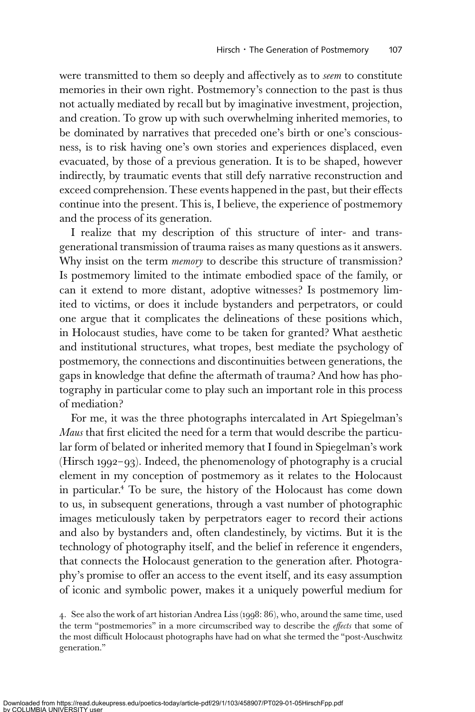were transmitted to them so deeply and affectively as to *seem* to constitute memories in their own right. Postmemory's connection to the past is thus not actually mediated by recall but by imaginative investment, projection, and creation. To grow up with such overwhelming inherited memories, to be dominated by narratives that preceded one's birth or one's consciousness, is to risk having one's own stories and experiences displaced, even evacuated, by those of a previous generation. It is to be shaped, however indirectly, by traumatic events that still defy narrative reconstruction and exceed comprehension. These events happened in the past, but their effects continue into the present. This is, I believe, the experience of postmemory and the process of its generation.

I realize that my description of this structure of inter- and transgenerational transmission of trauma raises as many questions as it answers. Why insist on the term *memory* to describe this structure of transmission? Is postmemory limited to the intimate embodied space of the family, or can it extend to more distant, adoptive witnesses? Is postmemory limited to victims, or does it include bystanders and perpetrators, or could one argue that it complicates the delineations of these positions which, in Holocaust studies, have come to be taken for granted? What aesthetic and institutional structures, what tropes, best mediate the psychology of postmemory, the connections and discontinuities between generations, the gaps in knowledge that define the aftermath of trauma? And how has photography in particular come to play such an important role in this process of mediation?

For me, it was the three photographs intercalated in Art Spiegelman's *Maus* that first elicited the need for a term that would describe the particular form of belated or inherited memory that I found in Spiegelman's work (Hirsch 1992–93). Indeed, the phenomenology of photography is a crucial element in my conception of postmemory as it relates to the Holocaust in particular.<sup>4</sup> To be sure, the history of the Holocaust has come down to us, in subsequent generations, through a vast number of photographic images meticulously taken by perpetrators eager to record their actions and also by bystanders and, often clandestinely, by victims. But it is the technology of photography itself, and the belief in reference it engenders, that connects the Holocaust generation to the generation after. Photography's promise to offer an access to the event itself, and its easy assumption of iconic and symbolic power, makes it a uniquely powerful medium for

<sup>.</sup> See also the work of art historian Andrea Liss (1998: 86), who, around the same time, used the term "postmemories" in a more circumscribed way to describe the *effects* that some of the most difficult Holocaust photographs have had on what she termed the "post-Auschwitz generation."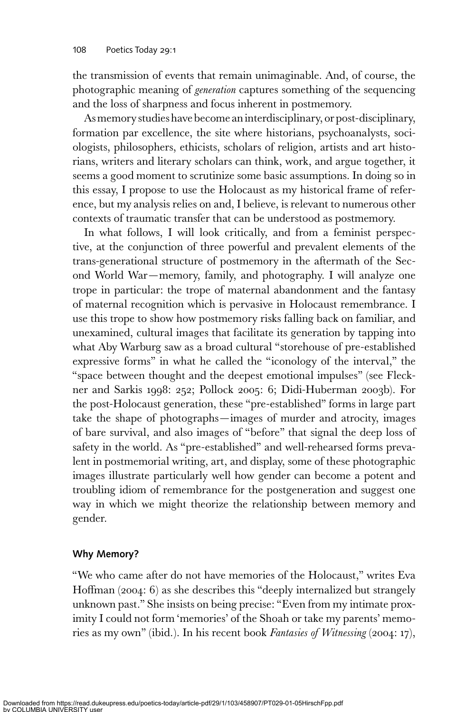the transmission of events that remain unimaginable. And, of course, the photographic meaning of *generation* captures something of the sequencing and the loss of sharpness and focus inherent in postmemory.

As memory studies have become an interdisciplinary, or post-disciplinary, formation par excellence, the site where historians, psychoanalysts, sociologists, philosophers, ethicists, scholars of religion, artists and art historians, writers and literary scholars can think, work, and argue together, it seems a good moment to scrutinize some basic assumptions. In doing so in this essay, I propose to use the Holocaust as my historical frame of reference, but my analysis relies on and, I believe, is relevant to numerous other contexts of traumatic transfer that can be understood as postmemory.

In what follows, I will look critically, and from a feminist perspective, at the conjunction of three powerful and prevalent elements of the trans-generational structure of postmemory in the aftermath of the Second World War—memory, family, and photography. I will analyze one trope in particular: the trope of maternal abandonment and the fantasy of maternal recognition which is pervasive in Holocaust remembrance. I use this trope to show how postmemory risks falling back on familiar, and unexamined, cultural images that facilitate its generation by tapping into what Aby Warburg saw as a broad cultural "storehouse of pre-established expressive forms" in what he called the "iconology of the interval," the "space between thought and the deepest emotional impulses" (see Fleckner and Sarkis 1998: 252; Pollock 2005: 6; Didi-Huberman 2003b). For the post-Holocaust generation, these "pre-established" forms in large part take the shape of photographs—images of murder and atrocity, images of bare survival, and also images of "before" that signal the deep loss of safety in the world. As "pre-established" and well-rehearsed forms prevalent in postmemorial writing, art, and display, some of these photographic images illustrate particularly well how gender can become a potent and troubling idiom of remembrance for the postgeneration and suggest one way in which we might theorize the relationship between memory and gender.

# **Why Memory?**

"We who came after do not have memories of the Holocaust," writes Eva Hoffman (2004: 6) as she describes this "deeply internalized but strangely unknown past." She insists on being precise: "Even from my intimate proximity I could not form 'memories' of the Shoah or take my parents' memories as my own" (ibid.). In his recent book *Fantasies of Witnessing* (2004: 17),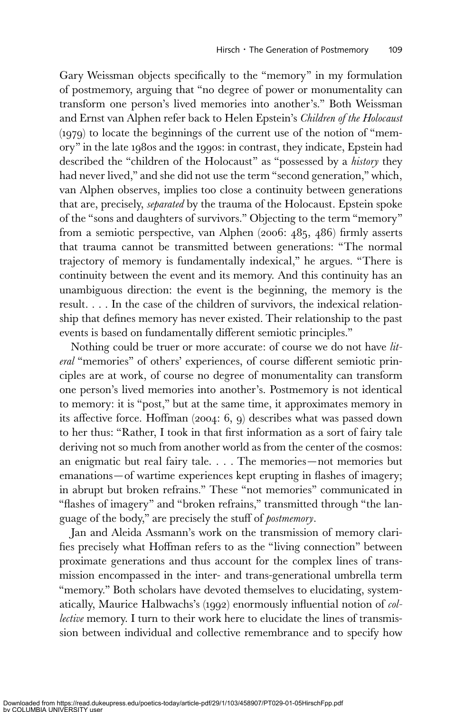Gary Weissman objects specifically to the "memory" in my formulation of postmemory, arguing that "no degree of power or monumentality can transform one person's lived memories into another's." Both Weissman and Ernst van Alphen refer back to Helen Epstein's *Children of the Holocaust* (1979) to locate the beginnings of the current use of the notion of "memory" in the late 1980s and the 1990s: in contrast, they indicate, Epstein had described the "children of the Holocaust" as "possessed by a *history* they had never lived," and she did not use the term "second generation," which, van Alphen observes, implies too close a continuity between generations that are, precisely, *separated* by the trauma of the Holocaust. Epstein spoke of the "sons and daughters of survivors." Objecting to the term "memory" from a semiotic perspective, van Alphen (2006: 485, 486) firmly asserts that trauma cannot be transmitted between generations: "The normal trajectory of memory is fundamentally indexical," he argues. "There is continuity between the event and its memory. And this continuity has an unambiguous direction: the event is the beginning, the memory is the result. . . . In the case of the children of survivors, the indexical relationship that defines memory has never existed. Their relationship to the past events is based on fundamentally different semiotic principles."

Nothing could be truer or more accurate: of course we do not have *literal* "memories" of others' experiences, of course different semiotic principles are at work, of course no degree of monumentality can transform one person's lived memories into another's. Postmemory is not identical to memory: it is "post," but at the same time, it approximates memory in its affective force. Hoffman (2004: 6, 9) describes what was passed down to her thus: "Rather, I took in that first information as a sort of fairy tale deriving not so much from another world as from the center of the cosmos: an enigmatic but real fairy tale. . . . The memories—not memories but emanations—of wartime experiences kept erupting in flashes of imagery; in abrupt but broken refrains." These "not memories" communicated in "flashes of imagery" and "broken refrains," transmitted through "the language of the body," are precisely the stuff of *postmemory*.

Jan and Aleida Assmann's work on the transmission of memory clarifies precisely what Hoffman refers to as the "living connection" between proximate generations and thus account for the complex lines of transmission encompassed in the inter- and trans-generational umbrella term "memory." Both scholars have devoted themselves to elucidating, systematically, Maurice Halbwachs's (1992) enormously influential notion of *collective* memory. I turn to their work here to elucidate the lines of transmission between individual and collective remembrance and to specify how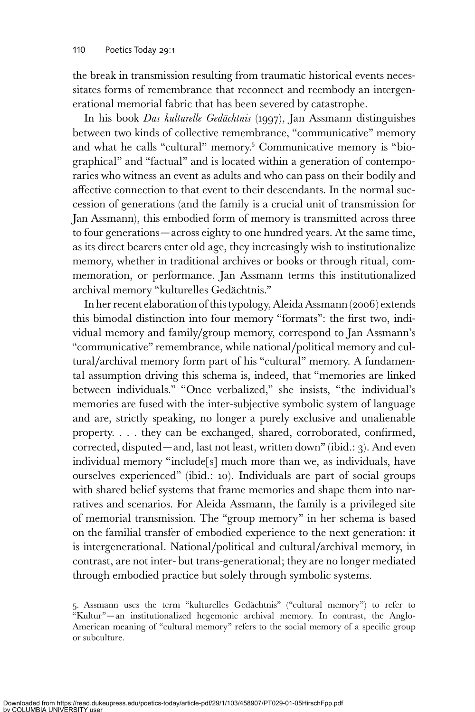the break in transmission resulting from traumatic historical events necessitates forms of remembrance that reconnect and reembody an intergenerational memorial fabric that has been severed by catastrophe.

In his book *Das kulturelle Gedächtnis* (1997), Jan Assmann distinguishes between two kinds of collective remembrance, "communicative" memory and what he calls "cultural" memory.<sup>5</sup> Communicative memory is "biographical" and "factual" and is located within a generation of contemporaries who witness an event as adults and who can pass on their bodily and affective connection to that event to their descendants. In the normal succession of generations (and the family is a crucial unit of transmission for Jan Assmann), this embodied form of memory is transmitted across three to four generations—across eighty to one hundred years. At the same time, as its direct bearers enter old age, they increasingly wish to institutionalize memory, whether in traditional archives or books or through ritual, commemoration, or performance. Jan Assmann terms this institutionalized archival memory "kulturelles Gedächtnis."

In her recent elaboration of this typology, Aleida Assmann (2006) extends this bimodal distinction into four memory "formats": the first two, individual memory and family/group memory, correspond to Jan Assmann's "communicative" remembrance, while national/political memory and cultural/archival memory form part of his "cultural" memory. A fundamental assumption driving this schema is, indeed, that "memories are linked between individuals." "Once verbalized," she insists, "the individual's memories are fused with the inter-subjective symbolic system of language and are, strictly speaking, no longer a purely exclusive and unalienable property. . . . they can be exchanged, shared, corroborated, confirmed, corrected, disputed—and, last not least, written down" (ibid.: 3). And even individual memory "include[s] much more than we, as individuals, have ourselves experienced" (ibid.: 10). Individuals are part of social groups with shared belief systems that frame memories and shape them into narratives and scenarios. For Aleida Assmann, the family is a privileged site of memorial transmission. The "group memory" in her schema is based on the familial transfer of embodied experience to the next generation: it is intergenerational. National/political and cultural/archival memory, in contrast, are not inter- but trans-generational; they are no longer mediated through embodied practice but solely through symbolic systems.

<sup>.</sup> Assmann uses the term "kulturelles Gedächtnis" ("cultural memory") to refer to "Kultur"—an institutionalized hegemonic archival memory. In contrast, the Anglo-American meaning of "cultural memory" refers to the social memory of a specific group or subculture.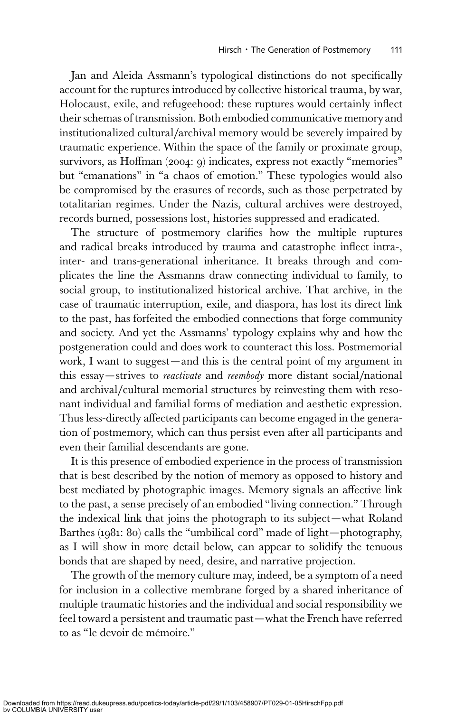Jan and Aleida Assmann's typological distinctions do not specifically account for the ruptures introduced by collective historical trauma, by war, Holocaust, exile, and refugeehood: these ruptures would certainly inflect their schemas of transmission. Both embodied communicative memory and institutionalized cultural/archival memory would be severely impaired by traumatic experience. Within the space of the family or proximate group, survivors, as Hoffman (2004: 9) indicates, express not exactly "memories" but "emanations" in "a chaos of emotion." These typologies would also be compromised by the erasures of records, such as those perpetrated by totalitarian regimes. Under the Nazis, cultural archives were destroyed, records burned, possessions lost, histories suppressed and eradicated.

The structure of postmemory clarifies how the multiple ruptures and radical breaks introduced by trauma and catastrophe inflect intra-, inter- and trans-generational inheritance. It breaks through and complicates the line the Assmanns draw connecting individual to family, to social group, to institutionalized historical archive. That archive, in the case of traumatic interruption, exile, and diaspora, has lost its direct link to the past, has forfeited the embodied connections that forge community and society. And yet the Assmanns' typology explains why and how the postgeneration could and does work to counteract this loss. Postmemorial work, I want to suggest—and this is the central point of my argument in this essay—strives to *reactivate* and *reembody* more distant social/national and archival/cultural memorial structures by reinvesting them with resonant individual and familial forms of mediation and aesthetic expression. Thus less-directly affected participants can become engaged in the generation of postmemory, which can thus persist even after all participants and even their familial descendants are gone.

It is this presence of embodied experience in the process of transmission that is best described by the notion of memory as opposed to history and best mediated by photographic images. Memory signals an affective link to the past, a sense precisely of an embodied "living connection." Through the indexical link that joins the photograph to its subject—what Roland Barthes (1981: 80) calls the "umbilical cord" made of light—photography, as I will show in more detail below, can appear to solidify the tenuous bonds that are shaped by need, desire, and narrative projection.

The growth of the memory culture may, indeed, be a symptom of a need for inclusion in a collective membrane forged by a shared inheritance of multiple traumatic histories and the individual and social responsibility we feel toward a persistent and traumatic past—what the French have referred to as "le devoir de mémoire."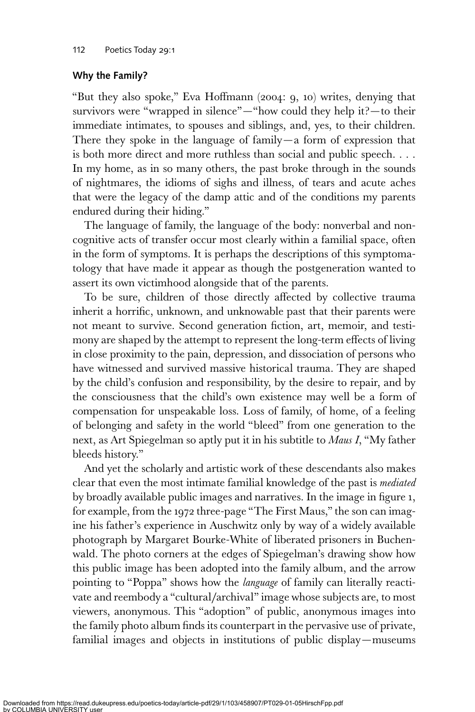## **Why the Family?**

"But they also spoke," Eva Hoffmann (2004: 9, 10) writes, denying that survivors were "wrapped in silence"—"how could they help it?—to their immediate intimates, to spouses and siblings, and, yes, to their children. There they spoke in the language of family—a form of expression that is both more direct and more ruthless than social and public speech. . . . In my home, as in so many others, the past broke through in the sounds of nightmares, the idioms of sighs and illness, of tears and acute aches that were the legacy of the damp attic and of the conditions my parents endured during their hiding."

The language of family, the language of the body: nonverbal and noncognitive acts of transfer occur most clearly within a familial space, often in the form of symptoms. It is perhaps the descriptions of this symptomatology that have made it appear as though the postgeneration wanted to assert its own victimhood alongside that of the parents.

To be sure, children of those directly affected by collective trauma inherit a horrific, unknown, and unknowable past that their parents were not meant to survive. Second generation fiction, art, memoir, and testimony are shaped by the attempt to represent the long-term effects of living in close proximity to the pain, depression, and dissociation of persons who have witnessed and survived massive historical trauma. They are shaped by the child's confusion and responsibility, by the desire to repair, and by the consciousness that the child's own existence may well be a form of compensation for unspeakable loss. Loss of family, of home, of a feeling of belonging and safety in the world "bleed" from one generation to the next, as Art Spiegelman so aptly put it in his subtitle to *Maus I*, "My father bleeds history."

And yet the scholarly and artistic work of these descendants also makes clear that even the most intimate familial knowledge of the past is *mediated* by broadly available public images and narratives. In the image in figure 1, for example, from the 1972 three-page "The First Maus," the son can imagine his father's experience in Auschwitz only by way of a widely available photograph by Margaret Bourke-White of liberated prisoners in Buchenwald. The photo corners at the edges of Spiegelman's drawing show how this public image has been adopted into the family album, and the arrow pointing to "Poppa" shows how the *language* of family can literally reactivate and reembody a "cultural/archival" image whose subjects are, to most viewers, anonymous. This "adoption" of public, anonymous images into the family photo album finds its counterpart in the pervasive use of private, familial images and objects in institutions of public display—museums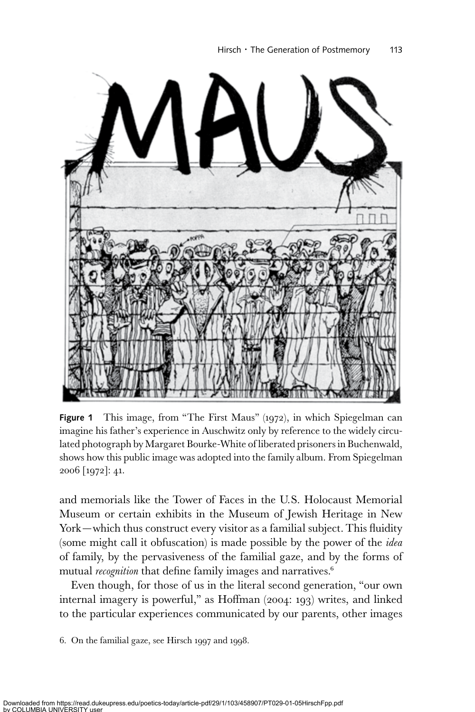

**Figure 1** This image, from "The First Maus" (1972), in which Spiegelman can imagine his father's experience in Auschwitz only by reference to the widely circulated photograph by Margaret Bourke-White of liberated prisoners in Buchenwald, shows how this public image was adopted into the family album. From Spiegelman 2006 [1972]: 41.

and memorials like the Tower of Faces in the U.S. Holocaust Memorial Museum or certain exhibits in the Museum of Jewish Heritage in New York—which thus construct every visitor as a familial subject. This fluidity (some might call it obfuscation) is made possible by the power of the *idea* of family, by the pervasiveness of the familial gaze, and by the forms of mutual *recognition* that define family images and narratives.

Even though, for those of us in the literal second generation, "our own internal imagery is powerful," as Hoffman (2004: 193) writes, and linked to the particular experiences communicated by our parents, other images

. On the familial gaze, see Hirsch 1997 and 1998.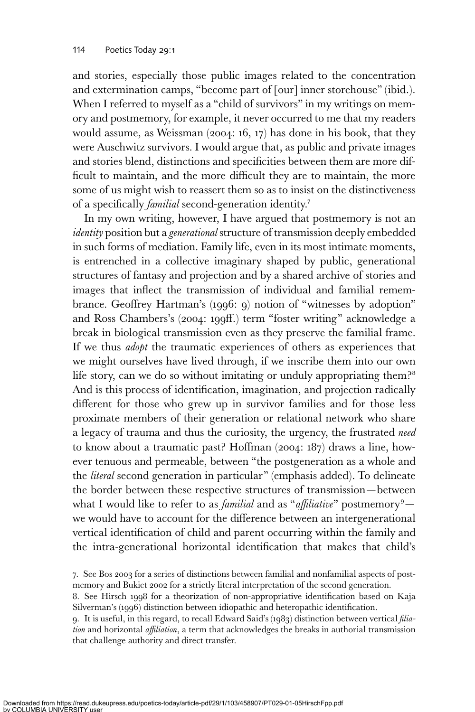and stories, especially those public images related to the concentration and extermination camps, "become part of [our] inner storehouse" (ibid.). When I referred to myself as a "child of survivors" in my writings on memory and postmemory, for example, it never occurred to me that my readers would assume, as Weissman (2004: 16, 17) has done in his book, that they were Auschwitz survivors. I would argue that, as public and private images and stories blend, distinctions and specificities between them are more difficult to maintain, and the more difficult they are to maintain, the more some of us might wish to reassert them so as to insist on the distinctiveness of a specifically *familial* second-generation identity.

In my own writing, however, I have argued that postmemory is not an *identity* position but a *generational* structure of transmission deeply embedded in such forms of mediation. Family life, even in its most intimate moments, is entrenched in a collective imaginary shaped by public, generational structures of fantasy and projection and by a shared archive of stories and images that inflect the transmission of individual and familial remembrance. Geoffrey Hartman's (1996: 9) notion of "witnesses by adoption" and Ross Chambers's (2004: 199ff.) term "foster writing" acknowledge a break in biological transmission even as they preserve the familial frame. If we thus *adopt* the traumatic experiences of others as experiences that we might ourselves have lived through, if we inscribe them into our own life story, can we do so without imitating or unduly appropriating them?<sup>8</sup> And is this process of identification, imagination, and projection radically different for those who grew up in survivor families and for those less proximate members of their generation or relational network who share a legacy of trauma and thus the curiosity, the urgency, the frustrated *need* to know about a traumatic past? Hoffman (2004: 187) draws a line, however tenuous and permeable, between "the postgeneration as a whole and the *literal* second generation in particular" (emphasis added). To delineate the border between these respective structures of transmission—between what I would like to refer to as *familial* and as "*affiliative*" postmemory<sup>9</sup>we would have to account for the difference between an intergenerational vertical identification of child and parent occurring within the family and the intra-generational horizontal identification that makes that child's

<sup>.</sup> See Bos 2003 for a series of distinctions between familial and nonfamilial aspects of postmemory and Bukiet 2002 for a strictly literal interpretation of the second generation.

<sup>.</sup> See Hirsch 1998 for a theorization of non-appropriative identification based on Kaja Silverman's (1996) distinction between idiopathic and heteropathic identification.

<sup>.</sup> It is useful, in this regard, to recall Edward Said's (1983) distinction between vertical *filiation* and horizontal *affiliation*, a term that acknowledges the breaks in authorial transmission that challenge authority and direct transfer.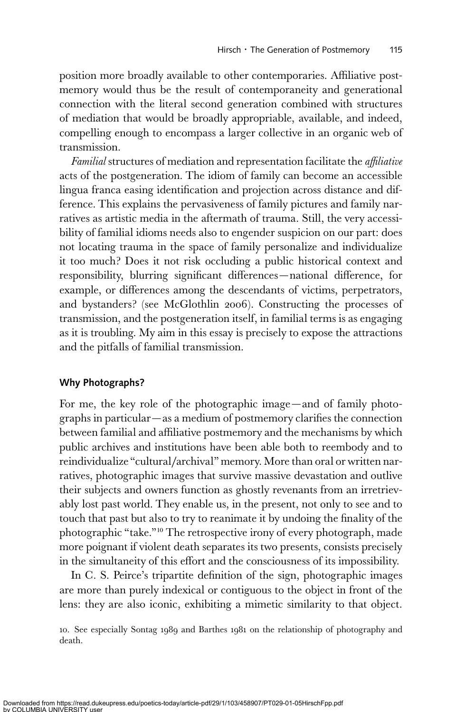position more broadly available to other contemporaries. Affiliative postmemory would thus be the result of contemporaneity and generational connection with the literal second generation combined with structures of mediation that would be broadly appropriable, available, and indeed, compelling enough to encompass a larger collective in an organic web of transmission.

*Familial* structures of mediation and representation facilitate the *affiliative* acts of the postgeneration. The idiom of family can become an accessible lingua franca easing identification and projection across distance and difference. This explains the pervasiveness of family pictures and family narratives as artistic media in the aftermath of trauma. Still, the very accessibility of familial idioms needs also to engender suspicion on our part: does not locating trauma in the space of family personalize and individualize it too much? Does it not risk occluding a public historical context and responsibility, blurring significant differences—national difference, for example, or differences among the descendants of victims, perpetrators, and bystanders? (see McGlothlin 2006). Constructing the processes of transmission, and the postgeneration itself, in familial terms is as engaging as it is troubling. My aim in this essay is precisely to expose the attractions and the pitfalls of familial transmission.

#### **Why Photographs?**

For me, the key role of the photographic image—and of family photographs in particular—as a medium of postmemory clarifies the connection between familial and affiliative postmemory and the mechanisms by which public archives and institutions have been able both to reembody and to reindividualize "cultural/archival" memory. More than oral or written narratives, photographic images that survive massive devastation and outlive their subjects and owners function as ghostly revenants from an irretrievably lost past world. They enable us, in the present, not only to see and to touch that past but also to try to reanimate it by undoing the finality of the photographic "take."10 The retrospective irony of every photograph, made more poignant if violent death separates its two presents, consists precisely in the simultaneity of this effort and the consciousness of its impossibility.

In C. S. Peirce's tripartite definition of the sign, photographic images are more than purely indexical or contiguous to the object in front of the lens: they are also iconic, exhibiting a mimetic similarity to that object.

10. See especially Sontag 1989 and Barthes 1981 on the relationship of photography and death.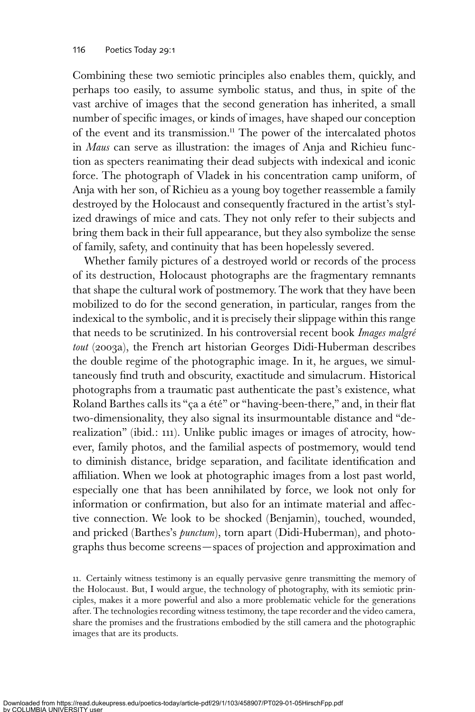Combining these two semiotic principles also enables them, quickly, and perhaps too easily, to assume symbolic status, and thus, in spite of the vast archive of images that the second generation has inherited, a small number of specific images, or kinds of images, have shaped our conception of the event and its transmission.11 The power of the intercalated photos in *Maus* can serve as illustration: the images of Anja and Richieu function as specters reanimating their dead subjects with indexical and iconic force. The photograph of Vladek in his concentration camp uniform, of Anja with her son, of Richieu as a young boy together reassemble a family destroyed by the Holocaust and consequently fractured in the artist's stylized drawings of mice and cats. They not only refer to their subjects and bring them back in their full appearance, but they also symbolize the sense of family, safety, and continuity that has been hopelessly severed.

Whether family pictures of a destroyed world or records of the process of its destruction, Holocaust photographs are the fragmentary remnants that shape the cultural work of postmemory. The work that they have been mobilized to do for the second generation, in particular, ranges from the indexical to the symbolic, and it is precisely their slippage within this range that needs to be scrutinized. In his controversial recent book *Images malgré tout* (2003a), the French art historian Georges Didi-Huberman describes the double regime of the photographic image. In it, he argues, we simultaneously find truth and obscurity, exactitude and simulacrum. Historical photographs from a traumatic past authenticate the past's existence, what Roland Barthes calls its "ça a été" or "having-been-there," and, in their flat two-dimensionality, they also signal its insurmountable distance and "derealization" (ibid.: 111). Unlike public images or images of atrocity, however, family photos, and the familial aspects of postmemory, would tend to diminish distance, bridge separation, and facilitate identification and affiliation. When we look at photographic images from a lost past world, especially one that has been annihilated by force, we look not only for information or confirmation, but also for an intimate material and affective connection. We look to be shocked (Benjamin), touched, wounded, and pricked (Barthes's *punctum*), torn apart (Didi-Huberman), and photographs thus become screens—spaces of projection and approximation and

11. Certainly witness testimony is an equally pervasive genre transmitting the memory of the Holocaust. But, I would argue, the technology of photography, with its semiotic principles, makes it a more powerful and also a more problematic vehicle for the generations after. The technologies recording witness testimony, the tape recorder and the video camera, share the promises and the frustrations embodied by the still camera and the photographic images that are its products.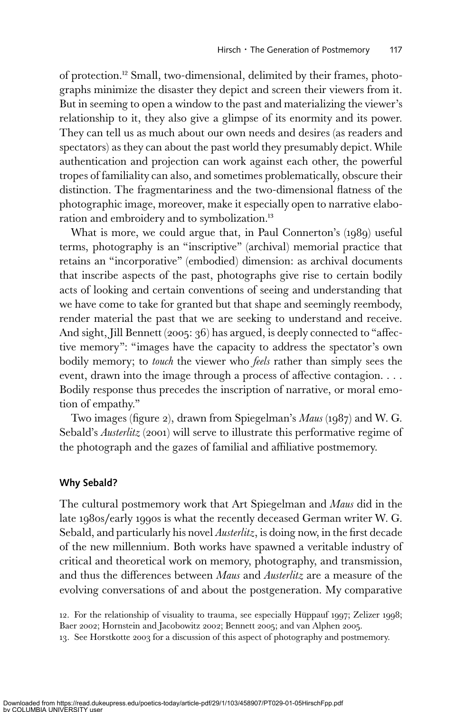of protection.12 Small, two-dimensional, delimited by their frames, photographs minimize the disaster they depict and screen their viewers from it. But in seeming to open a window to the past and materializing the viewer's relationship to it, they also give a glimpse of its enormity and its power. They can tell us as much about our own needs and desires (as readers and spectators) as they can about the past world they presumably depict. While authentication and projection can work against each other, the powerful tropes of familiality can also, and sometimes problematically, obscure their distinction. The fragmentariness and the two-dimensional flatness of the photographic image, moreover, make it especially open to narrative elaboration and embroidery and to symbolization.<sup>13</sup>

What is more, we could argue that, in Paul Connerton's (1989) useful terms, photography is an "inscriptive" (archival) memorial practice that retains an "incorporative" (embodied) dimension: as archival documents that inscribe aspects of the past, photographs give rise to certain bodily acts of looking and certain conventions of seeing and understanding that we have come to take for granted but that shape and seemingly reembody, render material the past that we are seeking to understand and receive. And sight, Jill Bennett (2005: 36) has argued, is deeply connected to "affective memory": "images have the capacity to address the spectator's own bodily memory; to *touch* the viewer who *feels* rather than simply sees the event, drawn into the image through a process of affective contagion. . . . Bodily response thus precedes the inscription of narrative, or moral emotion of empathy."

Two images (figure 2), drawn from Spiegelman's *Maus* (1987) and W. G. Sebald's *Austerlitz* (2001) will serve to illustrate this performative regime of the photograph and the gazes of familial and affiliative postmemory.

### **Why Sebald?**

The cultural postmemory work that Art Spiegelman and *Maus* did in the late 1980s/early 1990s is what the recently deceased German writer W. G. Sebald, and particularly his novel *Austerlitz*, is doing now, in the first decade of the new millennium. Both works have spawned a veritable industry of critical and theoretical work on memory, photography, and transmission, and thus the differences between *Maus* and *Austerlitz* are a measure of the evolving conversations of and about the postgeneration. My comparative

12. For the relationship of visuality to trauma, see especially Hüppauf 1997; Zelizer 1998; Baer 2002; Hornstein and Jacobowitz 2002; Bennett 2005; and van Alphen 2005.

13. See Horstkotte 2003 for a discussion of this aspect of photography and postmemory.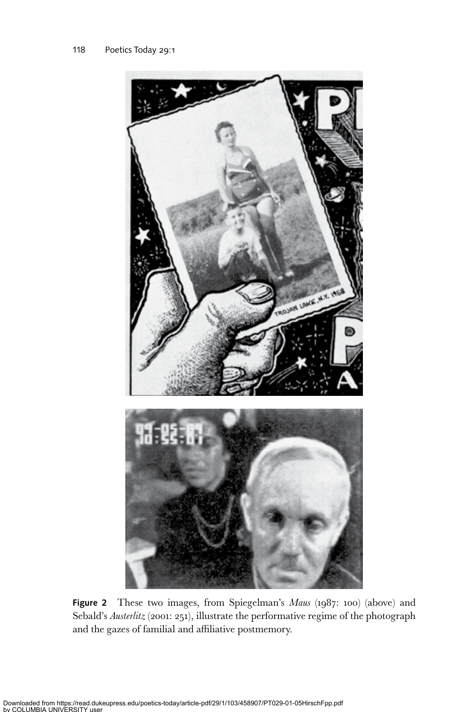

**Figure 2** These two images, from Spiegelman's *Maus* (1987: 100) (above) and Sebald's *Austerlitz* (2001: 251), illustrate the performative regime of the photograph and the gazes of familial and affiliative postmemory.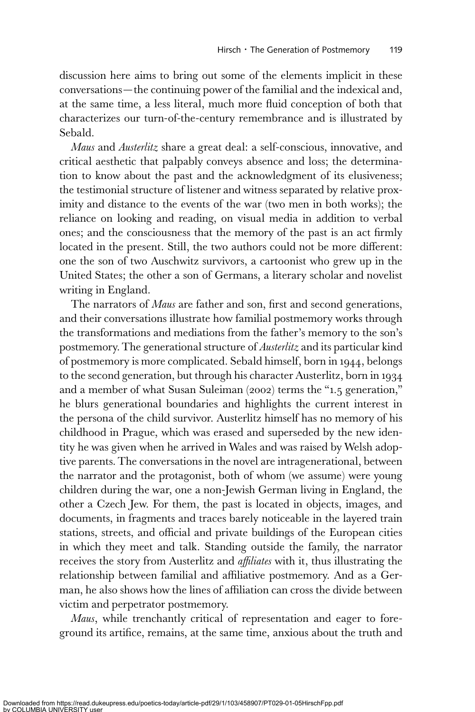discussion here aims to bring out some of the elements implicit in these conversations—the continuing power of the familial and the indexical and, at the same time, a less literal, much more fluid conception of both that characterizes our turn-of-the-century remembrance and is illustrated by Sebald.

*Maus* and *Austerlitz* share a great deal: a self-conscious, innovative, and critical aesthetic that palpably conveys absence and loss; the determination to know about the past and the acknowledgment of its elusiveness; the testimonial structure of listener and witness separated by relative proximity and distance to the events of the war (two men in both works); the reliance on looking and reading, on visual media in addition to verbal ones; and the consciousness that the memory of the past is an act firmly located in the present. Still, the two authors could not be more different: one the son of two Auschwitz survivors, a cartoonist who grew up in the United States; the other a son of Germans, a literary scholar and novelist writing in England.

The narrators of *Maus* are father and son, first and second generations, and their conversations illustrate how familial postmemory works through the transformations and mediations from the father's memory to the son's postmemory. The generational structure of *Austerlitz* and its particular kind of postmemory is more complicated. Sebald himself, born in 1944, belongs to the second generation, but through his character Austerlitz, born in 1934 and a member of what Susan Suleiman (2002) terms the "1.5 generation," he blurs generational boundaries and highlights the current interest in the persona of the child survivor. Austerlitz himself has no memory of his childhood in Prague, which was erased and superseded by the new identity he was given when he arrived in Wales and was raised by Welsh adoptive parents. The conversations in the novel are intragenerational, between the narrator and the protagonist, both of whom (we assume) were young children during the war, one a non-Jewish German living in England, the other a Czech Jew. For them, the past is located in objects, images, and documents, in fragments and traces barely noticeable in the layered train stations, streets, and official and private buildings of the European cities in which they meet and talk. Standing outside the family, the narrator receives the story from Austerlitz and *affiliates* with it, thus illustrating the relationship between familial and affiliative postmemory. And as a German, he also shows how the lines of affiliation can cross the divide between victim and perpetrator postmemory.

*Maus*, while trenchantly critical of representation and eager to foreground its artifice, remains, at the same time, anxious about the truth and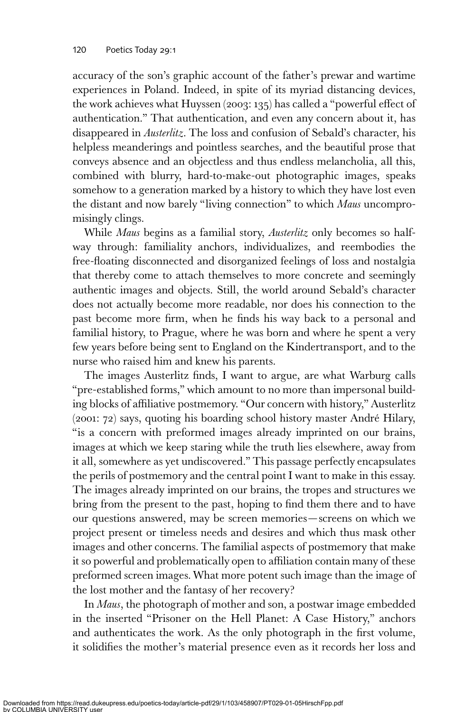accuracy of the son's graphic account of the father's prewar and wartime experiences in Poland. Indeed, in spite of its myriad distancing devices, the work achieves what Huyssen (2003: 135) has called a "powerful effect of authentication." That authentication, and even any concern about it, has disappeared in *Austerlitz*. The loss and confusion of Sebald's character, his helpless meanderings and pointless searches, and the beautiful prose that conveys absence and an objectless and thus endless melancholia, all this, combined with blurry, hard-to-make-out photographic images, speaks somehow to a generation marked by a history to which they have lost even the distant and now barely "living connection" to which *Maus* uncompromisingly clings.

While *Maus* begins as a familial story, *Austerlitz* only becomes so halfway through: familiality anchors, individualizes, and reembodies the free-floating disconnected and disorganized feelings of loss and nostalgia that thereby come to attach themselves to more concrete and seemingly authentic images and objects. Still, the world around Sebald's character does not actually become more readable, nor does his connection to the past become more firm, when he finds his way back to a personal and familial history, to Prague, where he was born and where he spent a very few years before being sent to England on the Kindertransport, and to the nurse who raised him and knew his parents.

The images Austerlitz finds, I want to argue, are what Warburg calls "pre-established forms," which amount to no more than impersonal building blocks of affiliative postmemory. "Our concern with history," Austerlitz (2001: 72) says, quoting his boarding school history master André Hilary, "is a concern with preformed images already imprinted on our brains, images at which we keep staring while the truth lies elsewhere, away from it all, somewhere as yet undiscovered." This passage perfectly encapsulates the perils of postmemory and the central point I want to make in this essay. The images already imprinted on our brains, the tropes and structures we bring from the present to the past, hoping to find them there and to have our questions answered, may be screen memories—screens on which we project present or timeless needs and desires and which thus mask other images and other concerns. The familial aspects of postmemory that make it so powerful and problematically open to affiliation contain many of these preformed screen images. What more potent such image than the image of the lost mother and the fantasy of her recovery?

In *Maus*, the photograph of mother and son, a postwar image embedded in the inserted "Prisoner on the Hell Planet: A Case History," anchors and authenticates the work. As the only photograph in the first volume, it solidifies the mother's material presence even as it records her loss and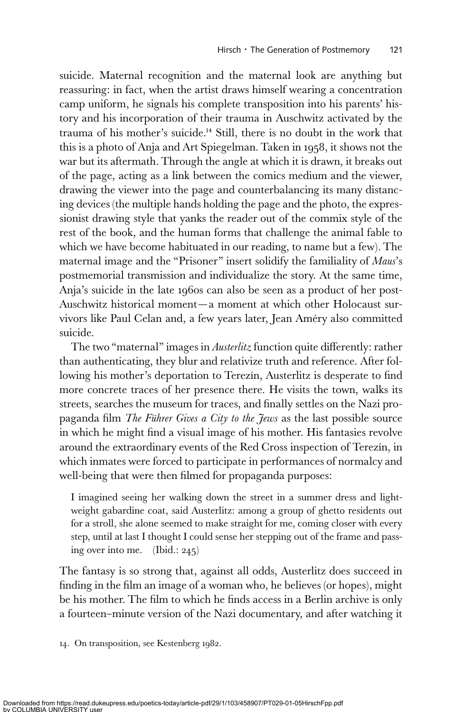suicide. Maternal recognition and the maternal look are anything but reassuring: in fact, when the artist draws himself wearing a concentration camp uniform, he signals his complete transposition into his parents' history and his incorporation of their trauma in Auschwitz activated by the trauma of his mother's suicide.14 Still, there is no doubt in the work that this is a photo of Anja and Art Spiegelman. Taken in 1958, it shows not the war but its aftermath. Through the angle at which it is drawn, it breaks out of the page, acting as a link between the comics medium and the viewer, drawing the viewer into the page and counterbalancing its many distancing devices (the multiple hands holding the page and the photo, the expressionist drawing style that yanks the reader out of the commix style of the rest of the book, and the human forms that challenge the animal fable to which we have become habituated in our reading, to name but a few). The maternal image and the "Prisoner" insert solidify the familiality of *Maus*'s postmemorial transmission and individualize the story. At the same time, Anja's suicide in the late 1960s can also be seen as a product of her post-Auschwitz historical moment—a moment at which other Holocaust survivors like Paul Celan and, a few years later, Jean Améry also committed suicide.

The two "maternal" images in *Austerlitz* function quite differently: rather than authenticating, they blur and relativize truth and reference. After following his mother's deportation to Terezín, Austerlitz is desperate to find more concrete traces of her presence there. He visits the town, walks its streets, searches the museum for traces, and finally settles on the Nazi propaganda film *The Führer Gives a City to the Jews* as the last possible source in which he might find a visual image of his mother. His fantasies revolve around the extraordinary events of the Red Cross inspection of Terezín, in which inmates were forced to participate in performances of normalcy and well-being that were then filmed for propaganda purposes:

I imagined seeing her walking down the street in a summer dress and lightweight gabardine coat, said Austerlitz: among a group of ghetto residents out for a stroll, she alone seemed to make straight for me, coming closer with every step, until at last I thought I could sense her stepping out of the frame and passing over into me. (Ibid.: 245)

The fantasy is so strong that, against all odds, Austerlitz does succeed in finding in the film an image of a woman who, he believes (or hopes), might be his mother. The film to which he finds access in a Berlin archive is only a fourteen–minute version of the Nazi documentary, and after watching it

14. On transposition, see Kestenberg 1982.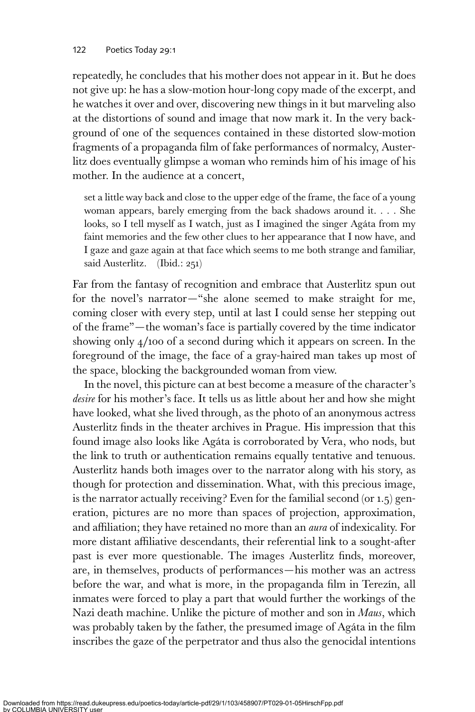repeatedly, he concludes that his mother does not appear in it. But he does not give up: he has a slow-motion hour-long copy made of the excerpt, and he watches it over and over, discovering new things in it but marveling also at the distortions of sound and image that now mark it. In the very background of one of the sequences contained in these distorted slow-motion fragments of a propaganda film of fake performances of normalcy, Austerlitz does eventually glimpse a woman who reminds him of his image of his mother. In the audience at a concert,

set a little way back and close to the upper edge of the frame, the face of a young woman appears, barely emerging from the back shadows around it. . . . She looks, so I tell myself as I watch, just as I imagined the singer Agáta from my faint memories and the few other clues to her appearance that I now have, and I gaze and gaze again at that face which seems to me both strange and familiar, said Austerlitz. (Ibid.: 251)

Far from the fantasy of recognition and embrace that Austerlitz spun out for the novel's narrator—"she alone seemed to make straight for me, coming closer with every step, until at last I could sense her stepping out of the frame"—the woman's face is partially covered by the time indicator showing only 4/100 of a second during which it appears on screen. In the foreground of the image, the face of a gray-haired man takes up most of the space, blocking the backgrounded woman from view.

In the novel, this picture can at best become a measure of the character's *desire* for his mother's face. It tells us as little about her and how she might have looked, what she lived through, as the photo of an anonymous actress Austerlitz finds in the theater archives in Prague. His impression that this found image also looks like Agáta is corroborated by Vera, who nods, but the link to truth or authentication remains equally tentative and tenuous. Austerlitz hands both images over to the narrator along with his story, as though for protection and dissemination. What, with this precious image, is the narrator actually receiving? Even for the familial second (or 1.5) generation, pictures are no more than spaces of projection, approximation, and affiliation; they have retained no more than an *aura* of indexicality. For more distant affiliative descendants, their referential link to a sought-after past is ever more questionable. The images Austerlitz finds, moreover, are, in themselves, products of performances—his mother was an actress before the war, and what is more, in the propaganda film in Terezín, all inmates were forced to play a part that would further the workings of the Nazi death machine. Unlike the picture of mother and son in *Maus*, which was probably taken by the father, the presumed image of Agáta in the film inscribes the gaze of the perpetrator and thus also the genocidal intentions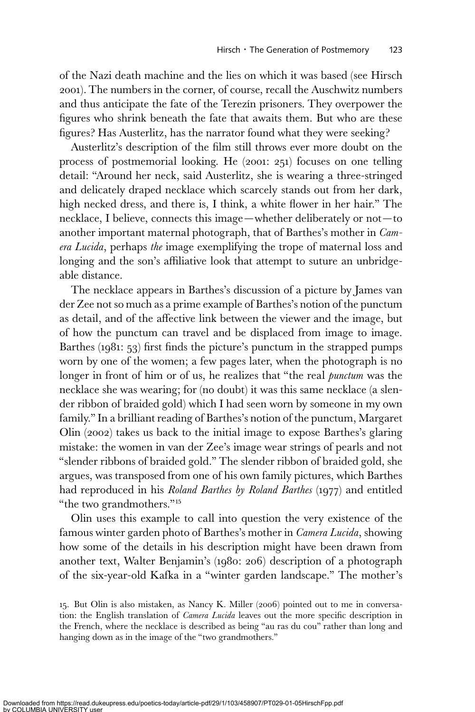of the Nazi death machine and the lies on which it was based (see Hirsch 2001). The numbers in the corner, of course, recall the Auschwitz numbers and thus anticipate the fate of the Terezín prisoners. They overpower the figures who shrink beneath the fate that awaits them. But who are these figures? Has Austerlitz, has the narrator found what they were seeking?

Austerlitz's description of the film still throws ever more doubt on the process of postmemorial looking. He (2001: 251) focuses on one telling detail: "Around her neck, said Austerlitz, she is wearing a three-stringed and delicately draped necklace which scarcely stands out from her dark, high necked dress, and there is, I think, a white flower in her hair." The necklace, I believe, connects this image—whether deliberately or not—to another important maternal photograph, that of Barthes's mother in *Camera Lucida*, perhaps *the* image exemplifying the trope of maternal loss and longing and the son's affiliative look that attempt to suture an unbridgeable distance.

The necklace appears in Barthes's discussion of a picture by James van der Zee not so much as a prime example of Barthes's notion of the punctum as detail, and of the affective link between the viewer and the image, but of how the punctum can travel and be displaced from image to image. Barthes (1981: 53) first finds the picture's punctum in the strapped pumps worn by one of the women; a few pages later, when the photograph is no longer in front of him or of us, he realizes that "the real *punctum* was the necklace she was wearing; for (no doubt) it was this same necklace (a slender ribbon of braided gold) which I had seen worn by someone in my own family." In a brilliant reading of Barthes's notion of the punctum, Margaret Olin (2002) takes us back to the initial image to expose Barthes's glaring mistake: the women in van der Zee's image wear strings of pearls and not "slender ribbons of braided gold." The slender ribbon of braided gold, she argues, was transposed from one of his own family pictures, which Barthes had reproduced in his *Roland Barthes by Roland Barthes* (1977) and entitled "the two grandmothers."15

Olin uses this example to call into question the very existence of the famous winter garden photo of Barthes's mother in *Camera Lucida*, showing how some of the details in his description might have been drawn from another text, Walter Benjamin's (1980: 206) description of a photograph of the six-year-old Kafka in a "winter garden landscape." The mother's

<sup>15.</sup> But Olin is also mistaken, as Nancy K. Miller (2006) pointed out to me in conversation: the English translation of *Camera Lucida* leaves out the more specific description in the French, where the necklace is described as being "au ras du cou" rather than long and hanging down as in the image of the "two grandmothers."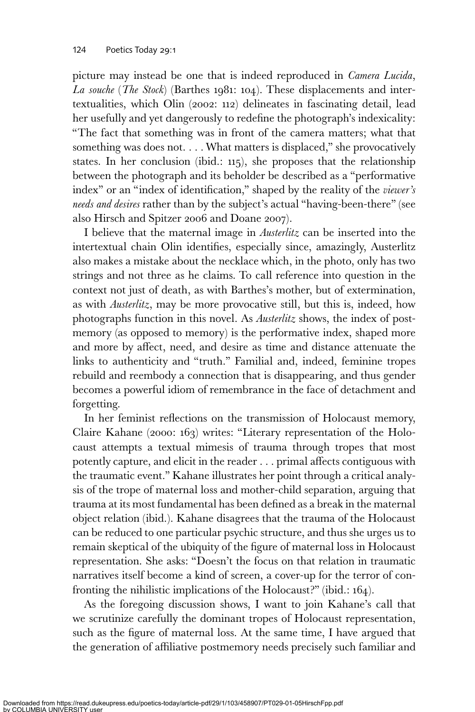picture may instead be one that is indeed reproduced in *Camera Lucida*, *La souche* (*The Stock*) (Barthes 1981: 104). These displacements and intertextualities, which Olin (2002: 112) delineates in fascinating detail, lead her usefully and yet dangerously to redefine the photograph's indexicality: "The fact that something was in front of the camera matters; what that something was does not. . . . What matters is displaced," she provocatively states. In her conclusion (ibid.: 115), she proposes that the relationship between the photograph and its beholder be described as a "performative index" or an "index of identification," shaped by the reality of the *viewer's needs and desires* rather than by the subject's actual "having-been-there" (see also Hirsch and Spitzer 2006 and Doane 2007).

I believe that the maternal image in *Austerlitz* can be inserted into the intertextual chain Olin identifies, especially since, amazingly, Austerlitz also makes a mistake about the necklace which, in the photo, only has two strings and not three as he claims. To call reference into question in the context not just of death, as with Barthes's mother, but of extermination, as with *Austerlitz*, may be more provocative still, but this is, indeed, how photographs function in this novel. As *Austerlitz* shows, the index of postmemory (as opposed to memory) is the performative index, shaped more and more by affect, need, and desire as time and distance attenuate the links to authenticity and "truth." Familial and, indeed, feminine tropes rebuild and reembody a connection that is disappearing, and thus gender becomes a powerful idiom of remembrance in the face of detachment and forgetting.

In her feminist reflections on the transmission of Holocaust memory, Claire Kahane (2000: 163) writes: "Literary representation of the Holocaust attempts a textual mimesis of trauma through tropes that most potently capture, and elicit in the reader . . . primal affects contiguous with the traumatic event." Kahane illustrates her point through a critical analysis of the trope of maternal loss and mother-child separation, arguing that trauma at its most fundamental has been defined as a break in the maternal object relation (ibid.). Kahane disagrees that the trauma of the Holocaust can be reduced to one particular psychic structure, and thus she urges us to remain skeptical of the ubiquity of the figure of maternal loss in Holocaust representation. She asks: "Doesn't the focus on that relation in traumatic narratives itself become a kind of screen, a cover-up for the terror of confronting the nihilistic implications of the Holocaust?" (ibid.: 164).

As the foregoing discussion shows, I want to join Kahane's call that we scrutinize carefully the dominant tropes of Holocaust representation, such as the figure of maternal loss. At the same time, I have argued that the generation of affiliative postmemory needs precisely such familiar and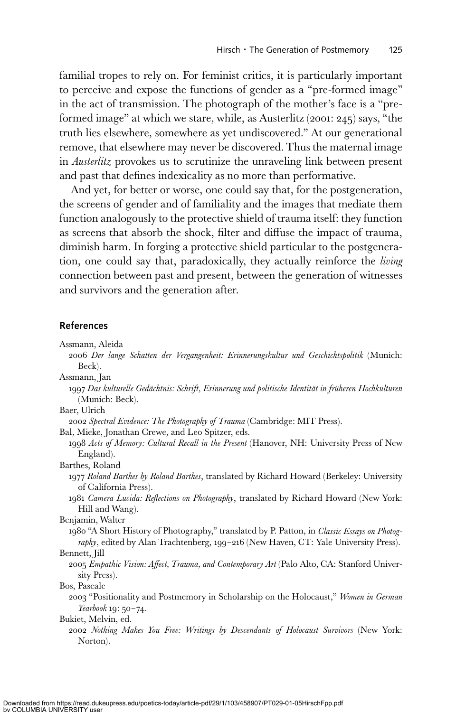familial tropes to rely on. For feminist critics, it is particularly important to perceive and expose the functions of gender as a "pre-formed image" in the act of transmission. The photograph of the mother's face is a "preformed image" at which we stare, while, as Austerlitz (2001: 245) says, "the truth lies elsewhere, somewhere as yet undiscovered." At our generational remove, that elsewhere may never be discovered. Thus the maternal image in *Austerlitz* provokes us to scrutinize the unraveling link between present and past that defines indexicality as no more than performative.

And yet, for better or worse, one could say that, for the postgeneration, the screens of gender and of familiality and the images that mediate them function analogously to the protective shield of trauma itself: they function as screens that absorb the shock, filter and diffuse the impact of trauma, diminish harm. In forging a protective shield particular to the postgeneration, one could say that, paradoxically, they actually reinforce the *living* connection between past and present, between the generation of witnesses and survivors and the generation after.

#### **References**

Assmann, Aleida 2006 *Der lange Schatten der Vergangenheit: Erinnerungskultur und Geschichtspolitik* (Munich: Beck). Assmann, Jan 1997 *Das kulturelle Gedächtnis: Schrift, Erinnerung und politische Identität in früheren Hochkulturen* (Munich: Beck). Baer, Ulrich 2002 *Spectral Evidence: The Photography of Trauma* (Cambridge: MIT Press). Bal, Mieke, Jonathan Crewe, and Leo Spitzer, eds. 1998 *Acts of Memory: Cultural Recall in the Present* (Hanover, NH: University Press of New England). Barthes, Roland 1977 *Roland Barthes by Roland Barthes*, translated by Richard Howard (Berkeley: University of California Press). 1981 *Camera Lucida: Reflections on Photography*, translated by Richard Howard (New York: Hill and Wang). Benjamin, Walter 1980 "A Short History of Photography," translated by P. Patton, in *Classic Essays on Photography*, edited by Alan Trachtenberg, 199–216 (New Haven, CT: Yale University Press). Bennett, Jill 2005 *Empathic Vision: Affect, Trauma, and Contemporary Art* (Palo Alto, CA: Stanford University Press). Bos, Pascale 2003 "Positionality and Postmemory in Scholarship on the Holocaust," *Women in German Yearbook* 19: 50–74. Bukiet, Melvin, ed. 2002 *Nothing Makes You Free: Writings by Descendants of Holocaust Survivors* (New York: Norton).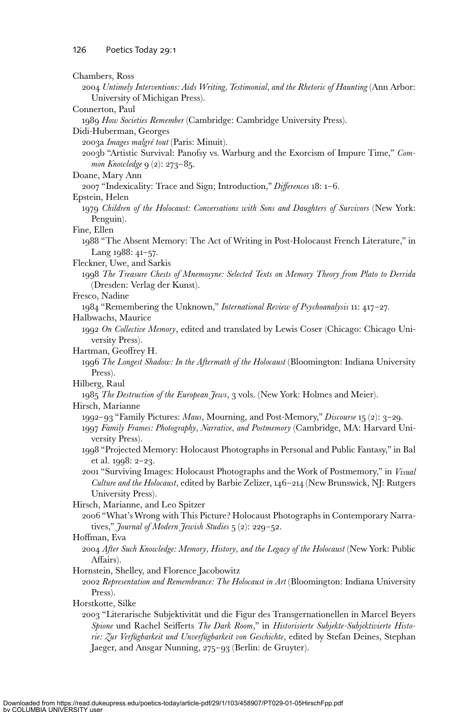| Chambers, Ross                                                                                                                     |
|------------------------------------------------------------------------------------------------------------------------------------|
| 2004 Untimely Interventions: Aids Writing, Testimonial, and the Rhetoric of Haunting (Ann Arbor:<br>University of Michigan Press). |
| Connerton, Paul                                                                                                                    |
| 1989 How Societies Remember (Cambridge: Cambridge University Press).                                                               |
| Didi-Huberman, Georges                                                                                                             |
| 2003a Images malgré tout (Paris: Minuit).                                                                                          |
| 2003b "Artistic Survival: Panofsy vs. Warburg and the Exorcism of Impure Time," Com-                                               |
| mon Knowledge $9(2)$ : 273-85.                                                                                                     |
| Doane, Mary Ann                                                                                                                    |
| 2007 "Indexicality: Trace and Sign; Introduction," Differences 18: 1-6.                                                            |
| Epstein, Helen                                                                                                                     |
| 1979 Children of the Holocaust: Conversations with Sons and Daughters of Survivors (New York:                                      |
| Penguin).                                                                                                                          |
| Fine, Ellen                                                                                                                        |
|                                                                                                                                    |
| 1988 "The Absent Memory: The Act of Writing in Post-Holocaust French Literature," in                                               |
| Lang 1988: 41-57.                                                                                                                  |
| Fleckner, Uwe, and Sarkis                                                                                                          |
| 1998 The Treasure Chests of Mnemosyne: Selected Texts on Memory Theory from Plato to Derrida                                       |
| (Dresden: Verlag der Kunst).                                                                                                       |
| Fresco, Nadine                                                                                                                     |
| 1984 "Remembering the Unknown," International Review of Psychoanalysis 11: 417-27.                                                 |
| Halbwachs, Maurice                                                                                                                 |
| 1992 On Collective Memory, edited and translated by Lewis Coser (Chicago: Chicago Uni-                                             |
| versity Press).                                                                                                                    |
| Hartman, Geoffrey H.                                                                                                               |
| 1996 The Longest Shadow: In the Aftermath of the Holocaust (Bloomington: Indiana University                                        |
| Press).                                                                                                                            |
| Hilberg, Raul                                                                                                                      |
| 1985 The Destruction of the European Jews, 3 vols. (New York: Holmes and Meier).                                                   |
| Hirsch, Marianne                                                                                                                   |
| 1992-93 "Family Pictures: Maus, Mourning, and Post-Memory," Discourse 15 (2): 3-29.                                                |
| 1997 Family Frames: Photography, Narrative, and Postmemory (Cambridge, MA: Harvard Uni-                                            |
| versity Press).                                                                                                                    |
| 1998 "Projected Memory: Holocaust Photographs in Personal and Public Fantasy," in Bal                                              |
| et al. 1998: 2-23.                                                                                                                 |
| 2001 "Surviving Images: Holocaust Photographs and the Work of Postmemory," in Visual                                               |
| Culture and the Holocaust, edited by Barbie Zelizer, 146-214 (New Brunswick, NJ: Rutgers                                           |
| University Press).                                                                                                                 |
| Hirsch, Marianne, and Leo Spitzer                                                                                                  |
| 2006 "What's Wrong with This Picture? Holocaust Photographs in Contemporary Narra-                                                 |
| tives," Journal of Modern Jewish Studies $5(2)$ : 229-52.                                                                          |
| Hoffman, Eva                                                                                                                       |
| 2004 After Such Knowledge: Memory, History, and the Legacy of the Holocaust (New York: Public                                      |
| Affairs).                                                                                                                          |
| Hornstein, Shelley, and Florence Jacobowitz                                                                                        |
| 2002 Representation and Remembrance: The Holocaust in Art (Bloomington: Indiana University                                         |
| Press).                                                                                                                            |
| Horstkotte, Silke                                                                                                                  |
| 2003 "Literarische Subjektivität und die Figur des Transgernationellen in Marcel Beyers                                            |
| Spione und Rachel Seifferts The Dark Room," in Historisierte Subjekte-Subjektivierte Histo-                                        |
| rie: Zur Verfügbarkeit und Unverfügbarkeit von Geschichte, edited by Stefan Deines, Stephan                                        |
| Jaeger, and Ansgar Nunning, 275-93 (Berlin: de Gruyter).                                                                           |
|                                                                                                                                    |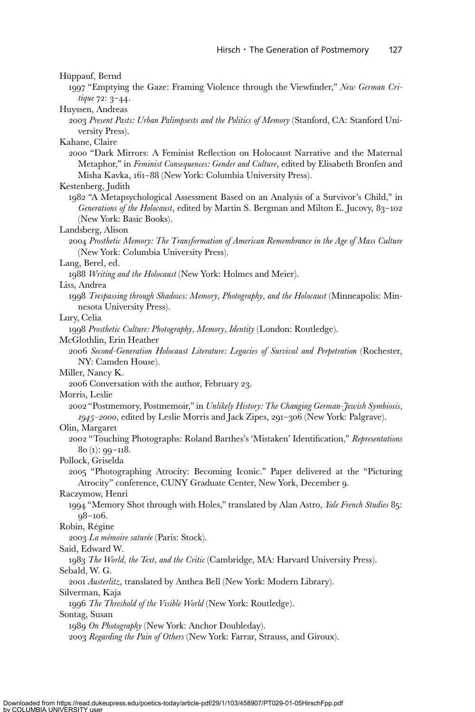| Hüppauf, Bernd                                                                                  |
|-------------------------------------------------------------------------------------------------|
| 1997 "Emptying the Gaze: Framing Violence through the Viewfinder," New German Cri-              |
| tique 72: 3-44.                                                                                 |
| Huyssen, Andreas                                                                                |
| 2003 Present Pasts: Urban Palimpsests and the Politics of Memory (Stanford, CA: Stanford Uni-   |
| versity Press).                                                                                 |
| Kahane, Claire                                                                                  |
| 2000 "Dark Mirrors: A Feminist Reflection on Holocaust Narrative and the Maternal               |
| Metaphor," in Feminist Consequences: Gender and Culture, edited by Elisabeth Bronfen and        |
| Misha Kavka, 161-88 (New York: Columbia University Press).                                      |
| Kestenberg, Judith                                                                              |
| 1982 "A Metapsychological Assessment Based on an Analysis of a Survivor's Child," in            |
| Generations of the Holocaust, edited by Martin S. Bergman and Milton E. Jucovy, 83-102          |
| (New York: Basic Books).                                                                        |
| Landsberg, Alison                                                                               |
| 2004 Prosthetic Memory: The Transformation of American Remembrance in the Age of Mass Culture   |
| (New York: Columbia University Press).                                                          |
| Lang, Berel, ed.                                                                                |
| 1988 <i>Writing and the Holocaust</i> (New York: Holmes and Meier).                             |
| Liss, Andrea                                                                                    |
| 1998 Trespassing through Shadows: Memory, Photography, and the Holocaust (Minneapolis: Min-     |
| nesota University Press).                                                                       |
| Lury, Celia                                                                                     |
| 1998 Prosthetic Culture: Photography, Memory, Identity (London: Routledge).                     |
| McGlothlin, Erin Heather                                                                        |
| 2006 Second-Generation Holocaust Literature: Legacies of Survival and Perpetration (Rochester,  |
| NY: Camden House).                                                                              |
| Miller, Nancy K.                                                                                |
| 2006 Conversation with the author, February 23.                                                 |
| Morris, Leslie                                                                                  |
| 2002 "Postmemory, Postmemoir," in Unlikely History: The Changing German-Jewish Symbiosis,       |
| 1945-2000, edited by Leslie Morris and Jack Zipes, 291-306 (New York: Palgrave).                |
| Olin, Margaret                                                                                  |
| 2002 "Touching Photographs: Roland Barthes's 'Mistaken' Identification," Representations        |
| $80 (1)$ : 99-118.                                                                              |
| Pollock, Griselda                                                                               |
| 2005 "Photographing Atrocity: Becoming Iconic." Paper delivered at the "Picturing               |
| Atrocity" conference, CUNY Graduate Center, New York, December 9.                               |
| Raczymow, Henri                                                                                 |
| 1994 "Memory Shot through with Holes," translated by Alan Astro, <i>Tale French Studies</i> 85: |
| $98 - 106.$                                                                                     |
| Robin, Régine                                                                                   |
| 2003 La mémoire saturée (Paris: Stock).                                                         |
| Said, Edward W.                                                                                 |
| 1983 The World, the Text, and the Critic (Cambridge, MA: Harvard University Press).             |
| Sebald, W. G.                                                                                   |
| 2001 Austerlitz, translated by Anthea Bell (New York: Modern Library).                          |
| Silverman, Kaja<br>1996 The Threshold of the Visible World (New York: Routledge).               |
| Sontag, Susan                                                                                   |
| 1989 On Photography (New York: Anchor Doubleday).                                               |
| 2003 Regarding the Pain of Others (New York: Farrar, Strauss, and Giroux).                      |
|                                                                                                 |